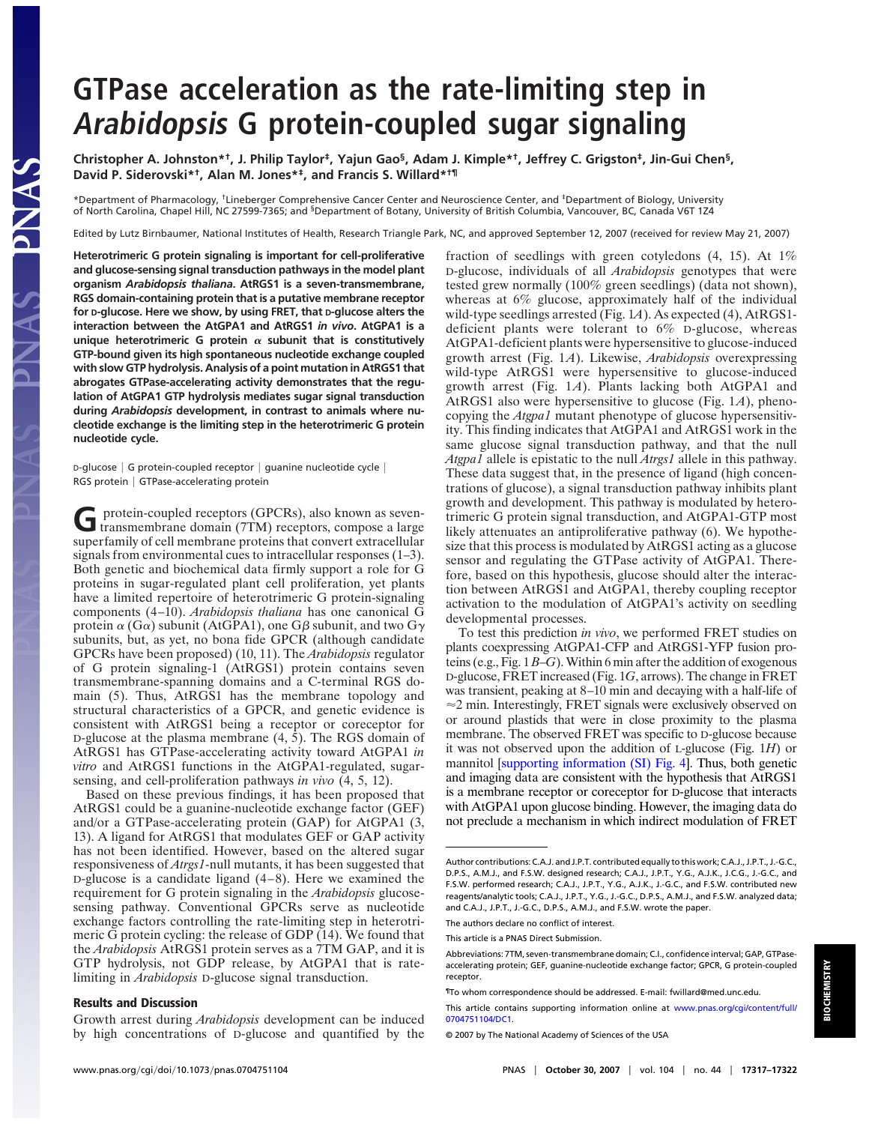## **GTPase acceleration as the rate-limiting step in Arabidopsis G protein-coupled sugar signaling**

**Christopher A. Johnston\*†, J. Philip Taylor‡, Yajun Gao§, Adam J. Kimple\*†, Jeffrey C. Grigston‡, Jin-Gui Chen§, David P. Siderovski\*†, Alan M. Jones\*‡, and Francis S. Willard\*†¶**

\*Department of Pharmacology, †Lineberger Comprehensive Cancer Center and Neuroscience Center, and ‡Department of Biology, University of North Carolina, Chapel Hill, NC 27599-7365; and <sup>§</sup>Department of Botany, University of British Columbia, Vancouver, BC, Canada V6T 124

Edited by Lutz Birnbaumer, National Institutes of Health, Research Triangle Park, NC, and approved September 12, 2007 (received for review May 21, 2007)

**Heterotrimeric G protein signaling is important for cell-proliferative and glucose-sensing signal transduction pathways in the model plant organism** *Arabidopsis thaliana***. AtRGS1 is a seven-transmembrane, RGS domain-containing protein that is a putative membrane receptor for D-glucose. Here we show, by using FRET, that D-glucose alters the interaction between the AtGPA1 and AtRGS1** *in vivo***. AtGPA1 is a** unique heterotrimeric G protein  $\alpha$  subunit that is constitutively **GTP-bound given its high spontaneous nucleotide exchange coupled with slow GTP hydrolysis. Analysis of a point mutation in AtRGS1 that abrogates GTPase-accelerating activity demonstrates that the regulation of AtGPA1 GTP hydrolysis mediates sugar signal transduction during** *Arabidopsis* **development, in contrast to animals where nucleotide exchange is the limiting step in the heterotrimeric G protein nucleotide cycle.**

<code>D-glucose</code>  $\mid$  G protein-coupled receptor  $\mid$  guanine nucleotide cycle  $\mid$ RGS protein | GTPase-accelerating protein

GPT protein-coupled receptors (GPCRs), also known as seven-<br>transmembrane domain (7TM) receptors, compose a large superfamily of cell membrane proteins that convert extracellular signals from environmental cues to intracellular responses (1–3). Both genetic and biochemical data firmly support a role for G proteins in sugar-regulated plant cell proliferation, yet plants have a limited repertoire of heterotrimeric G protein-signaling components (4–10). *Arabidopsis thaliana* has one canonical G protein  $\alpha$  (G $\alpha$ ) subunit (AtGPA1), one G $\beta$  subunit, and two G $\gamma$ subunits, but, as yet, no bona fide GPCR (although candidate GPCRs have been proposed) (10, 11). The *Arabidopsis* regulator of G protein signaling-1 (AtRGS1) protein contains seven transmembrane-spanning domains and a C-terminal RGS domain (5). Thus, AtRGS1 has the membrane topology and structural characteristics of a GPCR, and genetic evidence is consistent with AtRGS1 being a receptor or coreceptor for D-glucose at the plasma membrane (4, 5). The RGS domain of AtRGS1 has GTPase-accelerating activity toward AtGPA1 *in vitro* and AtRGS1 functions in the AtGPA1-regulated, sugarsensing, and cell-proliferation pathways *in vivo* (4, 5, 12).

Based on these previous findings, it has been proposed that AtRGS1 could be a guanine-nucleotide exchange factor (GEF) and/or a GTPase-accelerating protein (GAP) for AtGPA1 (3, 13). A ligand for AtRGS1 that modulates GEF or GAP activity has not been identified. However, based on the altered sugar responsiveness of *Atrgs1*-null mutants, it has been suggested that D-glucose is a candidate ligand (4–8). Here we examined the requirement for G protein signaling in the *Arabidopsis* glucosesensing pathway. Conventional GPCRs serve as nucleotide exchange factors controlling the rate-limiting step in heterotrimeric G protein cycling: the release of GDP (14). We found that the *Arabidopsis* AtRGS1 protein serves as a 7TM GAP, and it is GTP hydrolysis, not GDP release, by AtGPA1 that is ratelimiting in *Arabidopsis* D-glucose signal transduction.

## **Results and Discussion**

Growth arrest during *Arabidopsis* development can be induced by high concentrations of D-glucose and quantified by the

fraction of seedlings with green cotyledons (4, 15). At 1% D-glucose, individuals of all *Arabidopsis* genotypes that were tested grew normally (100% green seedlings) (data not shown), whereas at 6% glucose, approximately half of the individual wild-type seedlings arrested (Fig. 1*A*). As expected (4), AtRGS1 deficient plants were tolerant to 6% D-glucose, whereas AtGPA1-deficient plants were hypersensitive to glucose-induced growth arrest (Fig. 1*A*). Likewise, *Arabidopsis* overexpressing wild-type AtRGS1 were hypersensitive to glucose-induced growth arrest (Fig. 1*A*). Plants lacking both AtGPA1 and AtRGS1 also were hypersensitive to glucose (Fig. 1*A*), phenocopying the *Atgpa1* mutant phenotype of glucose hypersensitivity. This finding indicates that AtGPA1 and AtRGS1 work in the same glucose signal transduction pathway, and that the null *Atgpa1* allele is epistatic to the null *Atrgs1* allele in this pathway. These data suggest that, in the presence of ligand (high concentrations of glucose), a signal transduction pathway inhibits plant growth and development. This pathway is modulated by heterotrimeric G protein signal transduction, and AtGPA1-GTP most likely attenuates an antiproliferative pathway (6). We hypothesize that this process is modulated by AtRGS1 acting as a glucose sensor and regulating the GTPase activity of AtGPA1. Therefore, based on this hypothesis, glucose should alter the interaction between AtRGS1 and AtGPA1, thereby coupling receptor activation to the modulation of AtGPA1's activity on seedling developmental processes.

To test this prediction *in vivo*, we performed FRET studies on plants coexpressing AtGPA1-CFP and AtRGS1-YFP fusion proteins (e.g., Fig. 1*B*–*G*).Within 6 min after the addition of exogenous D-glucose, FRET increased (Fig. 1*G*, arrows). The change in FRET was transient, peaking at 8–10 min and decaying with a half-life of  $\approx$  2 min. Interestingly, FRET signals were exclusively observed on or around plastids that were in close proximity to the plasma membrane. The observed FRET was specific to D-glucose because it was not observed upon the addition of L-glucose (Fig. 1*H*) or mannitol [supporting information (SI) Fig. 4]. Thus, both genetic and imaging data are consistent with the hypothesis that AtRGS1 is a membrane receptor or coreceptor for D-glucose that interacts with AtGPA1 upon glucose binding. However, the imaging data do not preclude a mechanism in which indirect modulation of FRET

The authors declare no conflict of interest.

Author contributions: C.A.J. and J.P.T. contributed equally to this work; C.A.J., J.P.T., J.-G.C., D.P.S., A.M.J., and F.S.W. designed research; C.A.J., J.P.T., Y.G., A.J.K., J.C.G., J.-G.C., and F.S.W. performed research; C.A.J., J.P.T., Y.G., A.J.K., J.-G.C., and F.S.W. contributed new reagents/analytic tools; C.A.J., J.P.T., Y.G., J.-G.C., D.P.S., A.M.J., and F.S.W. analyzed data; and C.A.J., J.P.T., J.-G.C., D.P.S., A.M.J., and F.S.W. wrote the paper.

This article is a PNAS Direct Submission.

Abbreviations: 7TM, seven-transmembrane domain; C.I., confidence interval; GAP, GTPaseaccelerating protein; GEF, guanine-nucleotide exchange factor; GPCR, G protein-coupled receptor.

<sup>¶</sup>To whom correspondence should be addressed. E-mail: fwillard@med.unc.edu.

This article contains supporting information online at www.pnas.org/cgi/content/full/ 0704751104/DC1.

<sup>© 2007</sup> by The National Academy of Sciences of the USA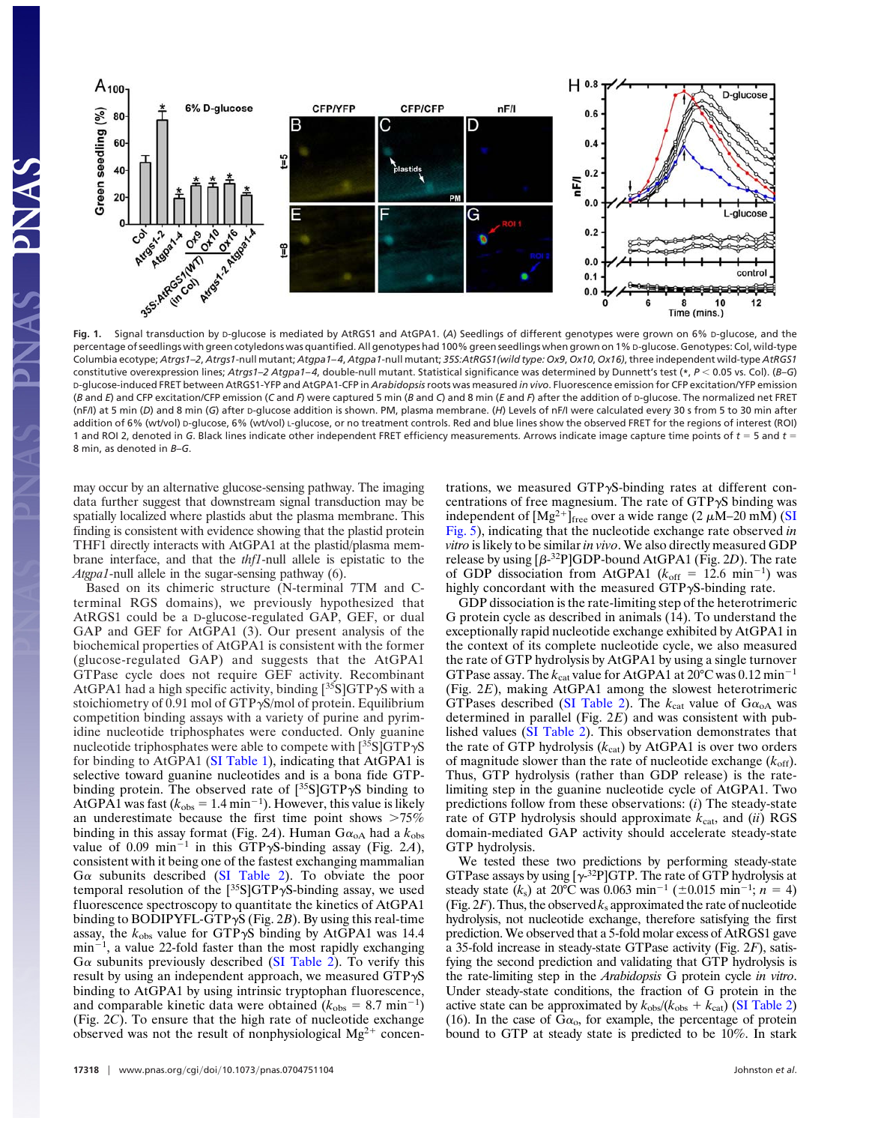

percentage of seedlings with green cotyledons was quantified. All genotypes had 100% green seedlings when grown on 1% D-glucose. Genotypes: Col, wild-type Columbia ecotype; *Atrgs1–2*, *Atrgs1*-null mutant; *Atgpa1– 4*, *Atgpa1*-null mutant; *35S:AtRGS1(wild type: Ox9*, *Ox10*, *Ox16)*, three independent wild-type *AtRGS1* constitutive overexpression lines; *Atrgs1–2 Atgpa1– 4*, double-null mutant. Statistical significance was determined by Dunnett's test (**\***, *P* 0.05 vs. Col). (*B*–*G*) D-glucose-induced FRET between AtRGS1-YFP and AtGPA1-CFP in *Arabidopsis*roots was measured *in vivo*. Fluorescence emission for CFP excitation/YFP emission (*B* and *E*) and CFP excitation/CFP emission (*C* and *F*) were captured 5 min (*B* and *C*) and 8 min (*E* and *F*) after the addition of D-glucose. The normalized net FRET (nF/I) at 5 min (*D*) and 8 min (*G*) after D-glucose addition is shown. PM, plasma membrane. (*H*) Levels of nF/I were calculated every 30 s from 5 to 30 min after addition of 6% (wt/vol) D-glucose, 6% (wt/vol) L-glucose, or no treatment controls. Red and blue lines show the observed FRET for the regions of interest (ROI) 1 and ROI 2, denoted in *G*. Black lines indicate other independent FRET efficiency measurements. Arrows indicate image capture time points of *t* 5 and *t* 8 min, as denoted in *B*–*G*.

may occur by an alternative glucose-sensing pathway. The imaging data further suggest that downstream signal transduction may be spatially localized where plastids abut the plasma membrane. This finding is consistent with evidence showing that the plastid protein THF1 directly interacts with AtGPA1 at the plastid/plasma membrane interface, and that the *thf1*-null allele is epistatic to the *Atgpa1*-null allele in the sugar-sensing pathway (6).

Based on its chimeric structure (N-terminal 7TM and Cterminal RGS domains), we previously hypothesized that AtRGS1 could be a D-glucose-regulated GAP, GEF, or dual GAP and GEF for AtGPA1 (3). Our present analysis of the biochemical properties of AtGPA1 is consistent with the former (glucose-regulated GAP) and suggests that the AtGPA1 GTPase cycle does not require GEF activity. Recombinant AtGPA1 had a high specific activity, binding  $[35S]GTP\gamma S$  with a stoichiometry of 0.91 mol of  $GTP\gamma S/mol$  of protein. Equilibrium competition binding assays with a variety of purine and pyrimidine nucleotide triphosphates were conducted. Only guanine nucleotide triphosphates were able to compete with  $[^{35}S]GTP\gamma S$ for binding to AtGPA1 (SI Table 1), indicating that AtGPA1 is selective toward guanine nucleotides and is a bona fide GTPbinding protein. The observed rate of  $[^{35}S]GTP\gamma S$  binding to AtGPA1 was fast  $(k_{obs} = 1.4 \text{ min}^{-1})$ . However, this value is likely an underestimate because the first time point shows  $>75\%$ binding in this assay format (Fig. 2A). Human  $G\alpha_{oA}$  had a  $k_{obs}$ value of 0.09 min<sup>-1</sup> in this GTP $\gamma$ S-binding assay (Fig. 2A), consistent with it being one of the fastest exchanging mammalian  $G\alpha$  subunits described (SI Table 2). To obviate the poor temporal resolution of the  $[35S] GTP\gamma S$ -binding assay, we used fluorescence spectroscopy to quantitate the kinetics of AtGPA1 binding to BODIPYFL-GTPS (Fig. 2*B*). By using this real-time assay, the  $k_{obs}$  value for GTP $\gamma$ S binding by AtGPA1 was 14.4  $min^{-1}$ , a value 22-fold faster than the most rapidly exchanging  $G\alpha$  subunits previously described (SI Table 2). To verify this result by using an independent approach, we measured  $GTP\gamma S$ binding to AtGPA1 by using intrinsic tryptophan fluorescence, and comparable kinetic data were obtained  $(k_{obs} = 8.7 \text{ min}^{-1})$ (Fig. 2*C*). To ensure that the high rate of nucleotide exchange observed was not the result of nonphysiological  $Mg^{2+}$  concentrations, we measured  $GTP\gamma S$ -binding rates at different concentrations of free magnesium. The rate of  $GTP\gamma S$  binding was independent of  $[Mg^{2+}]$ <sub>free</sub> over a wide range (2  $\mu$ M–20 mM) (SI Fig. 5), indicating that the nucleotide exchange rate observed *in vitro* is likely to be similar*in vivo*. We also directly measured GDP release by using  $[\beta^{-32}P]GDP$ -bound AtGPA1 (Fig. 2D). The rate of GDP dissociation from AtGPA1 ( $k_{off}$  = 12.6 min<sup>-1</sup>) was highly concordant with the measured  $GTP\gamma S$ -binding rate.

GDP dissociation is the rate-limiting step of the heterotrimeric G protein cycle as described in animals (14). To understand the exceptionally rapid nucleotide exchange exhibited by AtGPA1 in the context of its complete nucleotide cycle, we also measured the rate of GTP hydrolysis by AtGPA1 by using a single turnover GTPase assay. The  $k_{\text{cat}}$  value for AtGPA1 at 20 $\textdegree$ C was 0.12 min<sup>-1</sup> (Fig. 2*E*), making AtGPA1 among the slowest heterotrimeric GTPases described (SI Table 2). The  $k_{\text{cat}}$  value of  $G\alpha_{\text{oA}}$  was determined in parallel (Fig. 2*E*) and was consistent with published values (SI Table 2). This observation demonstrates that the rate of GTP hydrolysis  $(k_{cat})$  by AtGPA1 is over two orders of magnitude slower than the rate of nucleotide exchange  $(k_{\text{off}})$ . Thus, GTP hydrolysis (rather than GDP release) is the ratelimiting step in the guanine nucleotide cycle of AtGPA1. Two predictions follow from these observations: (*i*) The steady-state rate of GTP hydrolysis should approximate  $k_{\text{cat}}$ , and  $(ii)$  RGS domain-mediated GAP activity should accelerate steady-state GTP hydrolysis.

We tested these two predictions by performing steady-state GTPase assays by using  $[\gamma^{32}P]$ GTP. The rate of GTP hydrolysis at steady state  $(k_s)$  at 20<sup>o</sup>C was 0.063 min<sup>-1</sup> ( $\pm$ 0.015 min<sup>-1</sup>; *n* = 4) (Fig.  $2F$ ). Thus, the observed  $k_s$  approximated the rate of nucleotide hydrolysis, not nucleotide exchange, therefore satisfying the first prediction. We observed that a 5-fold molar excess of AtRGS1 gave a 35-fold increase in steady-state GTPase activity (Fig. 2*F*), satisfying the second prediction and validating that GTP hydrolysis is the rate-limiting step in the *Arabidopsis* G protein cycle *in vitro*. Under steady-state conditions, the fraction of G protein in the active state can be approximated by  $k_{obs}/(k_{obs} + k_{cat})$  (SI Table 2) (16). In the case of  $Ga_0$ , for example, the percentage of protein bound to GTP at steady state is predicted to be 10%. In stark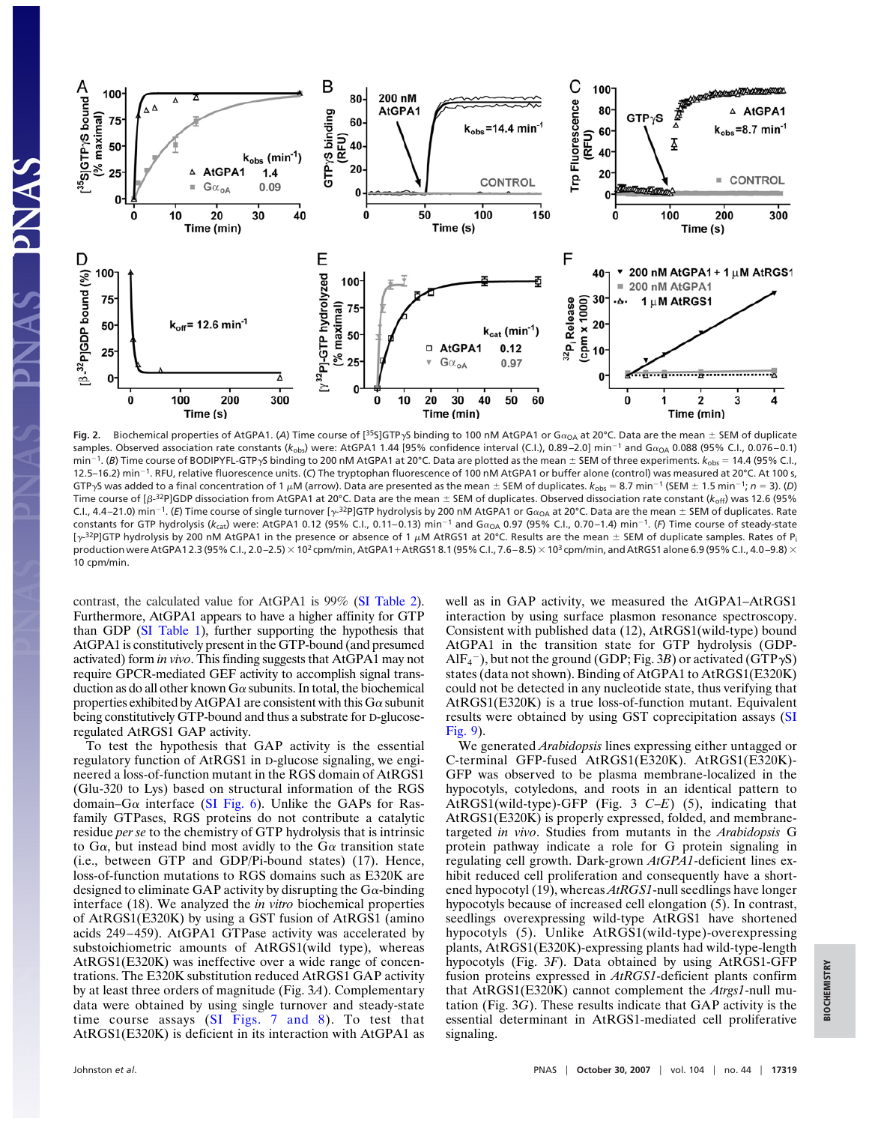

Fig. 2. Biochemical properties of AtGPA1. (A) Time course of [<sup>35</sup>S]GTP<sub>Y</sub>S binding to 100 nM AtGPA1 or G $\alpha_{\text{OA}}$  at 20°C. Data are the mean  $\pm$  SEM of duplicate samples. Observed association rate constants (k<sub>obs</sub>) were: AtGPA1 1.44 [95% confidence interval (C.I.), 0.89–2.0] min<sup>-1</sup> and G $\alpha_\mathrm{OA}$  0.088 (95% C.I., 0.076–0.1) min<sup>-1</sup>. (B) Time course of BODIPYFL-GTP<sub>Y</sub>S binding to 200 nM AtGPA1 at 20°C. Data are plotted as the mean ± SEM of three experiments.  $k_{obs} = 14.4$  (95% C.I., 12.5–16.2) min<sup>-1</sup>. RFU, relative fluorescence units. (C) The tryptophan fluorescence of 100 nM AtGPA1 or buffer alone (control) was measured at 20°C. At 100 s, GTP<sub>'</sub>S was added to a final concentration of 1  $\mu$ M (arrow). Data are presented as the mean  $\pm$  SEM of duplicates.  $k_{obs} = 8.7$  min<sup>-1</sup> (SEM  $\pm$  1.5 min<sup>-1</sup>; *n* = 3). (*D*) Time course of [ $\beta$ -<sup>32</sup>P]GDP dissociation from AtGPA1 at 20°C. Data are the mean  $\pm$  SEM of duplicates. Observed dissociation rate constant ( $k_{\text{off}}$ ) was 12.6 (95% C.I., 4.4–21.0) min<sup>-1</sup>. (E) Time course of single turnover [y-<sup>32</sup>P]GTP hydrolysis by 200 nM AtGPA1 or G $\alpha_{\sf OA}$  at 20°C. Data are the mean  $\pm$  SEM of duplicates. Rate constants for GTP hydrolysis (k<sub>cat</sub>) were: AtGPA1 0.12 (95% C.I., 0.11–0.13) min<sup>–1</sup> and G $\alpha_{\rm OA}$  0.97 (95% C.I., 0.70–1.4) min<sup>–1</sup>. (F) Time course of steady-state [ $\gamma$ -<sup>32</sup>P]GTP hydrolysis by 200 nM AtGPA1 in the presence or absence of 1  $\mu$ M AtRGS1 at 20°C. Results are the mean  $\pm$  SEM of duplicate samples. Rates of P<sub>i</sub> production were AtGPA1 2.3 (95% C.I., 2.0-2.5) × 10<sup>2</sup> cpm/min, AtGPA1+AtRGS1 8.1 (95% C.I., 7.6 -8.5) × 10<sup>3</sup> cpm/min, and AtRGS1 alone 6.9 (95% C.I., 4.0-9.8) × 10 cpm/min.

contrast, the calculated value for AtGPA1 is 99% (SI Table 2). Furthermore, AtGPA1 appears to have a higher affinity for GTP than GDP (SI Table 1), further supporting the hypothesis that AtGPA1 is constitutively present in the GTP-bound (and presumed activated) form *in vivo*. This finding suggests that AtGPA1 may not require GPCR-mediated GEF activity to accomplish signal transduction as do all other known  $G\alpha$  subunits. In total, the biochemical properties exhibited by AtGPA1 are consistent with this  $G\alpha$  subunit being constitutively GTP-bound and thus a substrate for D-glucoseregulated AtRGS1 GAP activity.

To test the hypothesis that GAP activity is the essential regulatory function of AtRGS1 in D-glucose signaling, we engineered a loss-of-function mutant in the RGS domain of AtRGS1 (Glu-320 to Lys) based on structural information of the RGS domain–G $\alpha$  interface (SI Fig. 6). Unlike the GAPs for Rasfamily GTPases, RGS proteins do not contribute a catalytic residue *per se* to the chemistry of GTP hydrolysis that is intrinsic to G $\alpha$ , but instead bind most avidly to the G $\alpha$  transition state (i.e., between GTP and GDP/Pi-bound states) (17). Hence, loss-of-function mutations to RGS domains such as E320K are designed to eliminate GAP activity by disrupting the G $\alpha$ -binding interface (18). We analyzed the *in vitro* biochemical properties of AtRGS1(E320K) by using a GST fusion of AtRGS1 (amino acids 249–459). AtGPA1 GTPase activity was accelerated by substoichiometric amounts of AtRGS1(wild type), whereas AtRGS1(E320K) was ineffective over a wide range of concentrations. The E320K substitution reduced AtRGS1 GAP activity by at least three orders of magnitude (Fig. 3*A*). Complementary data were obtained by using single turnover and steady-state time course assays (SI Figs. 7 and 8). To test that AtRGS1(E320K) is deficient in its interaction with AtGPA1 as

well as in GAP activity, we measured the AtGPA1–AtRGS1 interaction by using surface plasmon resonance spectroscopy. Consistent with published data (12), AtRGS1(wild-type) bound AtGPA1 in the transition state for GTP hydrolysis (GDP- $AIF_4^-$ ), but not the ground (GDP; Fig. 3*B*) or activated (GTP $\gamma$ S) states (data not shown). Binding of AtGPA1 to AtRGS1(E320K) could not be detected in any nucleotide state, thus verifying that AtRGS1(E320K) is a true loss-of-function mutant. Equivalent results were obtained by using GST coprecipitation assays (SI Fig. 9).

We generated *Arabidopsis* lines expressing either untagged or C-terminal GFP-fused AtRGS1(E320K). AtRGS1(E320K)- GFP was observed to be plasma membrane-localized in the hypocotyls, cotyledons, and roots in an identical pattern to AtRGS1(wild-type)-GFP (Fig. 3 *C*–*E*) (5), indicating that AtRGS1(E320K) is properly expressed, folded, and membranetargeted *in vivo*. Studies from mutants in the *Arabidopsis* G protein pathway indicate a role for G protein signaling in regulating cell growth. Dark-grown *AtGPA1*-deficient lines exhibit reduced cell proliferation and consequently have a shortened hypocotyl (19), whereas *AtRGS1*-null seedlings have longer hypocotyls because of increased cell elongation (5). In contrast, seedlings overexpressing wild-type AtRGS1 have shortened hypocotyls (5). Unlike AtRGS1(wild-type)-overexpressing plants, AtRGS1(E320K)-expressing plants had wild-type-length hypocotyls (Fig. 3*F*). Data obtained by using AtRGS1-GFP fusion proteins expressed in *AtRGS1*-deficient plants confirm that AtRGS1(E320K) cannot complement the *Atrgs1*-null mutation (Fig. 3*G*). These results indicate that GAP activity is the essential determinant in AtRGS1-mediated cell proliferative signaling.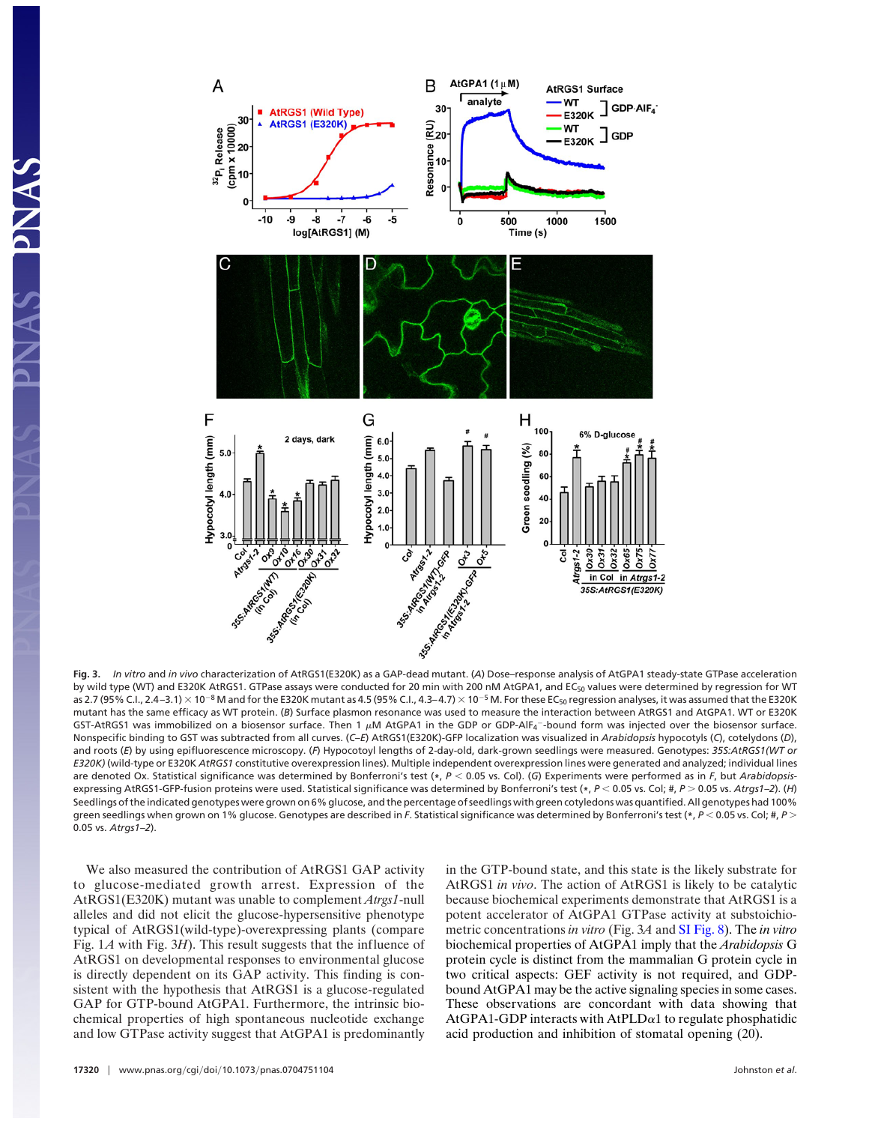

**Fig. 3.** *In vitro* and *in vivo* characterization of AtRGS1(E320K) as a GAP-dead mutant. (*A*) Dose–response analysis of AtGPA1 steady-state GTPase acceleration by wild type (WT) and E320K AtRGS1. GTPase assays were conducted for 20 min with 200 nM AtGPA1, and EC<sub>50</sub> values were determined by regression for WT as 2.7 (95% C.I., 2.4-3.1)  $\times$  10<sup>-8</sup> M and for the E320K mutant as 4.5 (95% C.I., 4.3-4.7)  $\times$  10<sup>-5</sup> M. For these EC<sub>50</sub> regression analyses, it was assumed that the E320K mutant has the same efficacy as WT protein. (*B*) Surface plasmon resonance was used to measure the interaction between AtRGS1 and AtGPA1. WT or E320K GST-AtRGS1 was immobilized on a biosensor surface. Then 1  $\mu$ M AtGPA1 in the GDP or GDP-AlF4<sup>-</sup>-bound form was injected over the biosensor surface. Nonspecific binding to GST was subtracted from all curves. (*C*–*E*) AtRGS1(E320K)-GFP localization was visualized in *Arabidopsis* hypocotyls (*C*), cotelydons (*D*), and roots (*E*) by using epifluorescence microscopy. (*F*) Hypocotoyl lengths of 2-day-old, dark-grown seedlings were measured. Genotypes: *35S:AtRGS1(WT or E320K)* (wild-type or E320K *AtRGS1* constitutive overexpression lines). Multiple independent overexpression lines were generated and analyzed; individual lines are denoted Ox. Statistical significance was determined by Bonferroni's test (**\***, *P* 0.05 vs. Col). (*G*) Experiments were performed as in *F*, but *Arabidopsis*expressing AtRGS1-GFP-fusion proteins were used. Statistical significance was determined by Bonferroni's test (\*,  $P < 0.05$  vs. Col; #,  $P > 0.05$  vs. Atrgs1-2). (H) Seedlings of the indicated genotypes were grown on 6% glucose, and the percentage of seedlings with green cotyledons was quantified. All genotypes had 100% green seedlings when grown on 1% glucose. Genotypes are described in *F*. Statistical significance was determined by Bonferroni's test (**\***, *P* 0.05 vs. Col; #, *P* 0.05 vs. *Atrgs1–2*).

We also measured the contribution of AtRGS1 GAP activity to glucose-mediated growth arrest. Expression of the AtRGS1(E320K) mutant was unable to complement *Atrgs1*-null alleles and did not elicit the glucose-hypersensitive phenotype typical of AtRGS1(wild-type)-overexpressing plants (compare Fig. 1*A* with Fig. 3*H*). This result suggests that the influence of AtRGS1 on developmental responses to environmental glucose is directly dependent on its GAP activity. This finding is consistent with the hypothesis that AtRGS1 is a glucose-regulated GAP for GTP-bound AtGPA1. Furthermore, the intrinsic biochemical properties of high spontaneous nucleotide exchange and low GTPase activity suggest that AtGPA1 is predominantly in the GTP-bound state, and this state is the likely substrate for AtRGS1 *in vivo*. The action of AtRGS1 is likely to be catalytic because biochemical experiments demonstrate that AtRGS1 is a potent accelerator of AtGPA1 GTPase activity at substoichiometric concentrations *in vitro* (Fig. 3*A* and SI Fig. 8). The *in vitro* biochemical properties of AtGPA1 imply that the *Arabidopsis* G protein cycle is distinct from the mammalian G protein cycle in two critical aspects: GEF activity is not required, and GDPbound AtGPA1 may be the active signaling species in some cases. These observations are concordant with data showing that AtGPA1-GDP interacts with AtPLD $\alpha$ 1 to regulate phosphatidic acid production and inhibition of stomatal opening (20).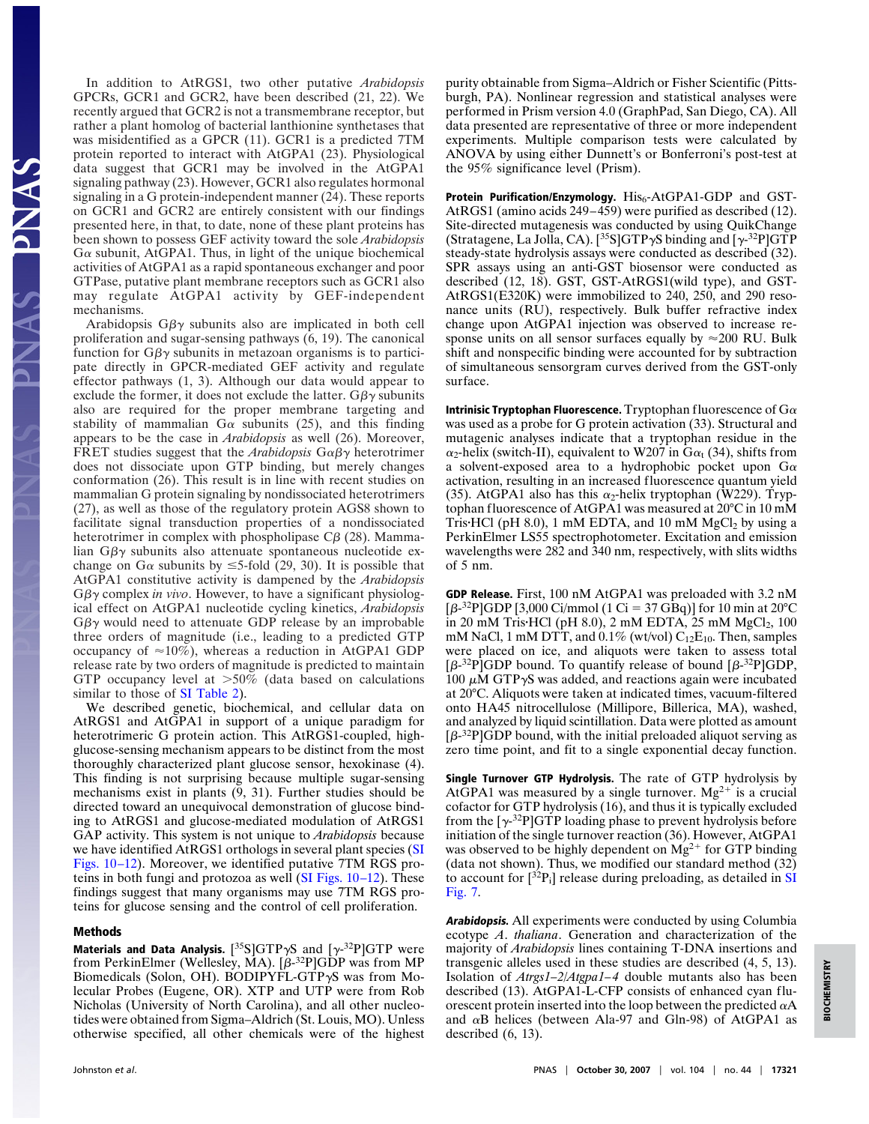In addition to AtRGS1, two other putative *Arabidopsis* GPCRs, GCR1 and GCR2, have been described (21, 22). We recently argued that GCR2 is not a transmembrane receptor, but rather a plant homolog of bacterial lanthionine synthetases that was misidentified as a GPCR (11). GCR1 is a predicted 7TM protein reported to interact with AtGPA1 (23). Physiological data suggest that GCR1 may be involved in the AtGPA1 signaling pathway (23). However, GCR1 also regulates hormonal signaling in a G protein-independent manner (24). These reports on GCR1 and GCR2 are entirely consistent with our findings presented here, in that, to date, none of these plant proteins has been shown to possess GEF activity toward the sole *Arabidopsis*  $G\alpha$  subunit, AtGPA1. Thus, in light of the unique biochemical activities of AtGPA1 as a rapid spontaneous exchanger and poor GTPase, putative plant membrane receptors such as GCR1 also may regulate AtGPA1 activity by GEF-independent mechanisms.

Arabidopsis  $G\beta\gamma$  subunits also are implicated in both cell proliferation and sugar-sensing pathways (6, 19). The canonical function for  $G\beta\gamma$  subunits in metazoan organisms is to participate directly in GPCR-mediated GEF activity and regulate effector pathways (1, 3). Although our data would appear to exclude the former, it does not exclude the latter.  $G\beta\gamma$  subunits also are required for the proper membrane targeting and stability of mammalian  $Ga$  subunits (25), and this finding appears to be the case in *Arabidopsis* as well (26). Moreover, FRET studies suggest that the *Arabidopsis*  $G \alpha \beta \gamma$  heterotrimer does not dissociate upon GTP binding, but merely changes conformation (26). This result is in line with recent studies on mammalian G protein signaling by nondissociated heterotrimers (27), as well as those of the regulatory protein AGS8 shown to facilitate signal transduction properties of a nondissociated heterotrimer in complex with phospholipase  $C\beta$  (28). Mammalian  $G\beta\gamma$  subunits also attenuate spontaneous nucleotide exchange on G $\alpha$  subunits by  $\leq$ 5-fold (29, 30). It is possible that AtGPA1 constitutive activity is dampened by the *Arabidopsis*  $G\beta\gamma$  complex *in vivo*. However, to have a significant physiological effect on AtGPA1 nucleotide cycling kinetics, *Arabidopsis*  $G\beta\gamma$  would need to attenuate GDP release by an improbable three orders of magnitude (i.e., leading to a predicted GTP occupancy of  $\approx 10\%$ ), whereas a reduction in AtGPA1 GDP release rate by two orders of magnitude is predicted to maintain GTP occupancy level at  $>50\%$  (data based on calculations similar to those of SI Table 2).

We described genetic, biochemical, and cellular data on AtRGS1 and AtGPA1 in support of a unique paradigm for heterotrimeric G protein action. This AtRGS1-coupled, highglucose-sensing mechanism appears to be distinct from the most thoroughly characterized plant glucose sensor, hexokinase (4). This finding is not surprising because multiple sugar-sensing mechanisms exist in plants (9, 31). Further studies should be directed toward an unequivocal demonstration of glucose binding to AtRGS1 and glucose-mediated modulation of AtRGS1 GAP activity. This system is not unique to *Arabidopsis* because we have identified AtRGS1 orthologs in several plant species (SI Figs. 10–12). Moreover, we identified putative 7TM RGS proteins in both fungi and protozoa as well (SI Figs. 10–12). These findings suggest that many organisms may use 7TM RGS proteins for glucose sensing and the control of cell proliferation.

## **Methods**

ENAS PNAS

**Materials and Data Analysis.**  $[^{35}S]GTP\gamma S$  and  $[\gamma^{-32}P]GTP$  were from PerkinElmer (Wellesley, MA).  $[*\beta*$ -<sup>32</sup>PlGDP was from MP Biomedicals (Solon, OH). BODIPYFL-GTP $\gamma$ S was from Molecular Probes (Eugene, OR). XTP and UTP were from Rob Nicholas (University of North Carolina), and all other nucleotides were obtained from Sigma–Aldrich (St. Louis, MO). Unless otherwise specified, all other chemicals were of the highest purity obtainable from Sigma–Aldrich or Fisher Scientific (Pittsburgh, PA). Nonlinear regression and statistical analyses were performed in Prism version 4.0 (GraphPad, San Diego, CA). All data presented are representative of three or more independent experiments. Multiple comparison tests were calculated by ANOVA by using either Dunnett's or Bonferroni's post-test at the 95% significance level (Prism).

Protein Purification/Enzymology. His<sub>6</sub>-AtGPA1-GDP and GST-AtRGS1 (amino acids 249–459) were purified as described (12). Site-directed mutagenesis was conducted by using QuikChange (Stratagene, La Jolla, CA). [<sup>35</sup>S]GTP $\gamma$ S binding and [ $\gamma$ <sup>-32</sup>P]GTP steady-state hydrolysis assays were conducted as described (32). SPR assays using an anti-GST biosensor were conducted as described (12, 18). GST, GST-AtRGS1(wild type), and GST-AtRGS1(E320K) were immobilized to 240, 250, and 290 resonance units (RU), respectively. Bulk buffer refractive index change upon AtGPA1 injection was observed to increase response units on all sensor surfaces equally by  $\approx$  200 RU. Bulk shift and nonspecific binding were accounted for by subtraction of simultaneous sensorgram curves derived from the GST-only surface.

**Intrinisic Tryptophan Fluorescence.** Tryptophan fluorescence of  $G\alpha$ was used as a probe for G protein activation (33). Structural and mutagenic analyses indicate that a tryptophan residue in the  $\alpha_2$ -helix (switch-II), equivalent to W207 in G $\alpha$ <sub>t</sub> (34), shifts from a solvent-exposed area to a hydrophobic pocket upon  $G\alpha$ activation, resulting in an increased fluorescence quantum yield (35). AtGPA1 also has this  $\alpha_2$ -helix tryptophan (W229). Tryptophan fluorescence of AtGPA1 was measured at 20°C in 10 mM Tris-HCl (pH 8.0), 1 mM EDTA, and 10 mM MgCl2 by using a PerkinElmer LS55 spectrophotometer. Excitation and emission wavelengths were 282 and 340 nm, respectively, with slits widths of 5 nm.

**GDP Release.** First, 100 nM AtGPA1 was preloaded with 3.2 nM  $[\beta$ -<sup>32</sup>P]GDP [3,000 Ci/mmol (1 Ci = 37 GBq)] for 10 min at 20°C in 20 mM Tris•HCl (pH 8.0), 2 mM EDTA, 25 mM MgCl<sub>2</sub>, 100 mM NaCl, 1 mM DTT, and  $0.1\%$  (wt/vol)  $C_{12}E_{10}$ . Then, samples were placed on ice, and aliquots were taken to assess total  $\left[\beta^{-32}P\right]GDP$  bound. To quantify release of bound  $\left[\beta^{-32}P\right]GDP$ , 100  $\mu$ M GTP $\gamma$ S was added, and reactions again were incubated at 20°C. Aliquots were taken at indicated times, vacuum-filtered onto HA45 nitrocellulose (Millipore, Billerica, MA), washed, and analyzed by liquid scintillation. Data were plotted as amount  $\left[\beta^{-32}P\right]$ GDP bound, with the initial preloaded aliquot serving as zero time point, and fit to a single exponential decay function.

**Single Turnover GTP Hydrolysis.** The rate of GTP hydrolysis by AtGPA1 was measured by a single turnover.  $Mg^{2+}$  is a crucial cofactor for GTP hydrolysis (16), and thus it is typically excluded from the  $[\gamma^{32}P]GTP$  loading phase to prevent hydrolysis before initiation of the single turnover reaction (36). However, AtGPA1 was observed to be highly dependent on  $Mg^{2+}$  for GTP binding (data not shown). Thus, we modified our standard method (32) to account for  $\left[3^{32}P_i\right]$  release during preloading, as detailed in SI Fig. 7.

**Arabidopsis.** All experiments were conducted by using Columbia ecotype *A*. *thaliana*. Generation and characterization of the majority of *Arabidopsis* lines containing T-DNA insertions and transgenic alleles used in these studies are described (4, 5, 13). Isolation of *Atrgs1–2/Atgpa1–4* double mutants also has been described (13). AtGPA1-L-CFP consists of enhanced cyan fluorescent protein inserted into the loop between the predicted  $\alpha A$ and  $\alpha$ B helices (between Ala-97 and Gln-98) of AtGPA1 as described (6, 13).